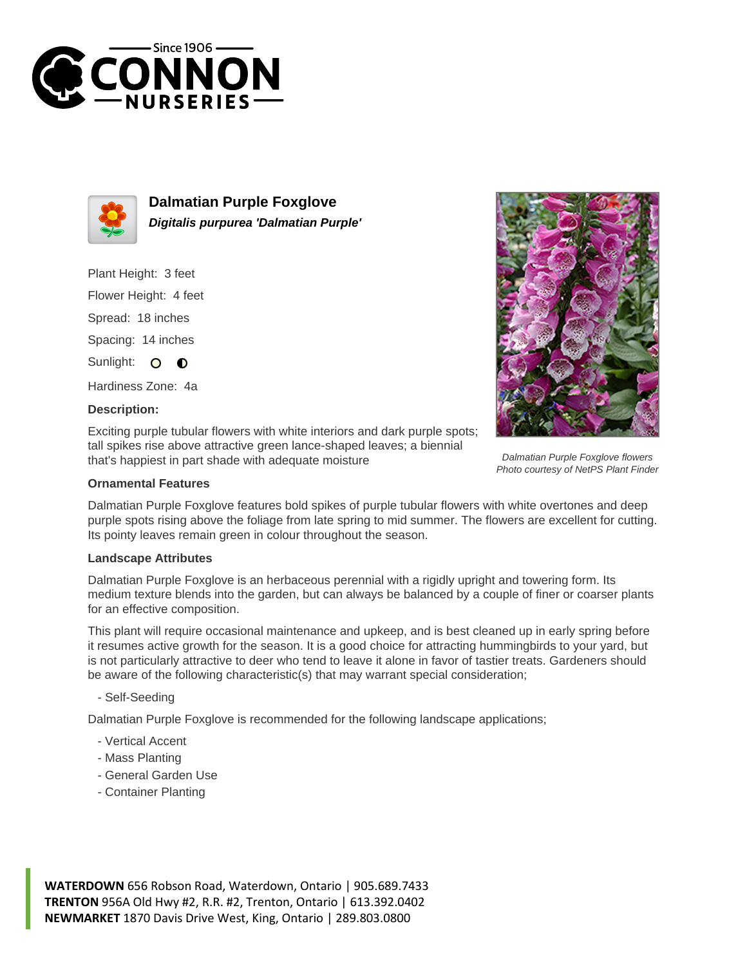



**Dalmatian Purple Foxglove Digitalis purpurea 'Dalmatian Purple'**

Plant Height: 3 feet

Flower Height: 4 feet

Spread: 18 inches

Spacing: 14 inches

Sunlight: O  $\bullet$ 

Hardiness Zone: 4a

## **Description:**

Exciting purple tubular flowers with white interiors and dark purple spots; tall spikes rise above attractive green lance-shaped leaves; a biennial that's happiest in part shade with adequate moisture

## **Ornamental Features**

Dalmatian Purple Foxglove features bold spikes of purple tubular flowers with white overtones and deep purple spots rising above the foliage from late spring to mid summer. The flowers are excellent for cutting. Its pointy leaves remain green in colour throughout the season.

## **Landscape Attributes**

Dalmatian Purple Foxglove is an herbaceous perennial with a rigidly upright and towering form. Its medium texture blends into the garden, but can always be balanced by a couple of finer or coarser plants for an effective composition.

This plant will require occasional maintenance and upkeep, and is best cleaned up in early spring before it resumes active growth for the season. It is a good choice for attracting hummingbirds to your yard, but is not particularly attractive to deer who tend to leave it alone in favor of tastier treats. Gardeners should be aware of the following characteristic(s) that may warrant special consideration;

- Self-Seeding

Dalmatian Purple Foxglove is recommended for the following landscape applications;

- Vertical Accent
- Mass Planting
- General Garden Use
- Container Planting

**WATERDOWN** 656 Robson Road, Waterdown, Ontario | 905.689.7433 **TRENTON** 956A Old Hwy #2, R.R. #2, Trenton, Ontario | 613.392.0402 **NEWMARKET** 1870 Davis Drive West, King, Ontario | 289.803.0800



Dalmatian Purple Foxglove flowers Photo courtesy of NetPS Plant Finder